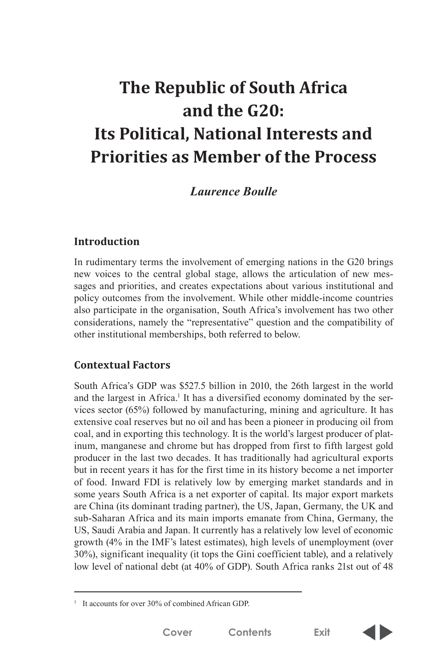# **The Republic of South Africa and the G20: Its Political, National Interests and Priorities as Member of the Process**

## *Laurence Boulle*

## **Introduction**

In rudimentary terms the involvement of emerging nations in the G20 brings new voices to the central global stage, allows the articulation of new messages and priorities, and creates expectations about various institutional and policy outcomes from the involvement. While other middle-income countries also participate in the organisation, South Africa's involvement has two other considerations, namely the "representative" question and the compatibility of other institutional memberships, both referred to below.

## **Contextual Factors**

South Africa's GDP was \$527.5 billion in 2010, the 26th largest in the world and the largest in Africa.<sup>1</sup> It has a diversified economy dominated by the services sector (65%) followed by manufacturing, mining and agriculture. It has extensive coal reserves but no oil and has been a pioneer in producing oil from coal, and in exporting this technology. It is the world's largest producer of platinum, manganese and chrome but has dropped from first to fifth largest gold producer in the last two decades. It has traditionally had agricultural exports but in recent years it has for the first time in its history become a net importer of food. Inward FDI is relatively low by emerging market standards and in some years South Africa is a net exporter of capital. Its major export markets are China (its dominant trading partner), the US, Japan, Germany, the UK and sub-Saharan Africa and its main imports emanate from China, Germany, the US, Saudi Arabia and Japan. It currently has a relatively low level of economic growth (4% in the IMF's latest estimates), high levels of unemployment (over 30%), significant inequality (it tops the Gini coefficient table), and a relatively low level of national debt (at 40% of GDP). South Africa ranks 21st out of 48



<sup>&</sup>lt;sup>1</sup> It accounts for over 30% of combined African GDP.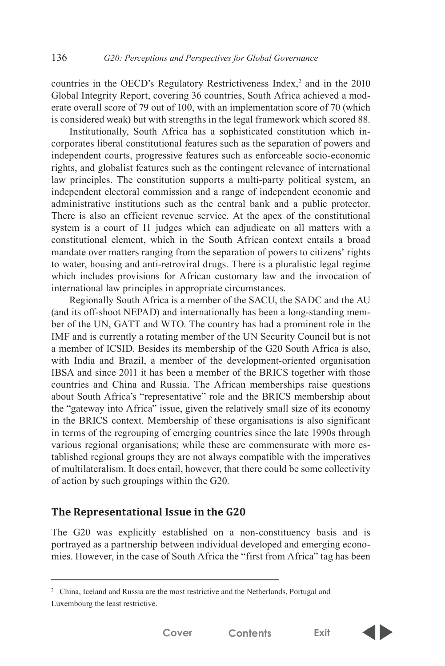countries in the OECD's Regulatory Restrictiveness Index, $2$  and in the 2010 Global Integrity Report, covering 36 countries, South Africa achieved a moderate overall score of 79 out of 100, with an implementation score of 70 (which is considered weak) but with strengths in the legal framework which scored 88.

Institutionally, South Africa has a sophisticated constitution which incorporates liberal constitutional features such as the separation of powers and independent courts, progressive features such as enforceable socio-economic rights, and globalist features such as the contingent relevance of international law principles. The constitution supports a multi-party political system, an independent electoral commission and a range of independent economic and administrative institutions such as the central bank and a public protector. There is also an efficient revenue service. At the apex of the constitutional system is a court of 11 judges which can adjudicate on all matters with a constitutional element, which in the South African context entails a broad mandate over matters ranging from the separation of powers to citizens' rights to water, housing and anti-retroviral drugs. There is a pluralistic legal regime which includes provisions for African customary law and the invocation of international law principles in appropriate circumstances.

Regionally South Africa is a member of the SACU, the SADC and the AU (and its off-shoot NEPAD) and internationally has been a long-standing member of the UN, GATT and WTO. The country has had a prominent role in the IMF and is currently a rotating member of the UN Security Council but is not a member of ICSID. Besides its membership of the G20 South Africa is also, with India and Brazil, a member of the development-oriented organisation IBSA and since 2011 it has been a member of the BRICS together with those countries and China and Russia. The African memberships raise questions about South Africa's "representative" role and the BRICS membership about the "gateway into Africa" issue, given the relatively small size of its economy in the BRICS context. Membership of these organisations is also significant in terms of the regrouping of emerging countries since the late 1990s through various regional organisations; while these are commensurate with more established regional groups they are not always compatible with the imperatives of multilateralism. It does entail, however, that there could be some collectivity of action by such groupings within the G20.

#### **The Representational Issue in the G20**

The G20 was explicitly established on a non-constituency basis and is portrayed as a partnership between individual developed and emerging economies. However, in the case of South Africa the "first from Africa" tag has been



<sup>&</sup>lt;sup>2</sup> China, Iceland and Russia are the most restrictive and the Netherlands, Portugal and Luxembourg the least restrictive.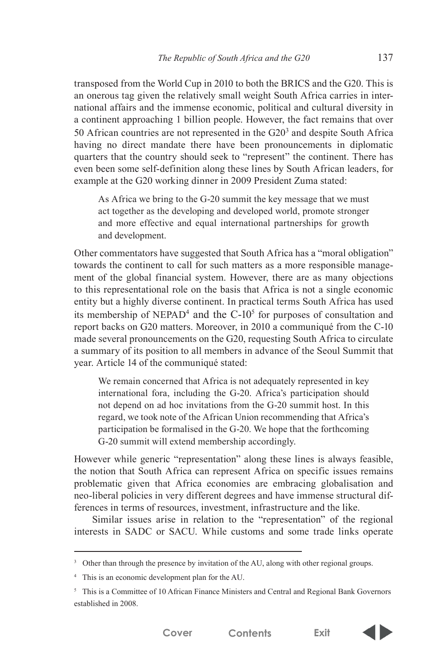transposed from the World Cup in 2010 to both the BRICS and the G20. This is an onerous tag given the relatively small weight South Africa carries in international affairs and the immense economic, political and cultural diversity in a continent approaching 1 billion people. However, the fact remains that over 50 African countries are not represented in the  $G20<sup>3</sup>$  and despite South Africa having no direct mandate there have been pronouncements in diplomatic quarters that the country should seek to "represent" the continent. There has even been some self-definition along these lines by South African leaders, for example at the G20 working dinner in 2009 President Zuma stated:

As Africa we bring to the G-20 summit the key message that we must act together as the developing and developed world, promote stronger and more effective and equal international partnerships for growth and development.

Other commentators have suggested that South Africa has a "moral obligation" towards the continent to call for such matters as a more responsible management of the global financial system. However, there are as many objections to this representational role on the basis that Africa is not a single economic entity but a highly diverse continent. In practical terms South Africa has used its membership of NEPAD<sup>4</sup> and the  $C$ -10<sup>5</sup> for purposes of consultation and report backs on G20 matters. Moreover, in 2010 a communiqué from the C-10 made several pronouncements on the G20, requesting South Africa to circulate a summary of its position to all members in advance of the Seoul Summit that year. Article 14 of the communiqué stated:

We remain concerned that Africa is not adequately represented in key international fora, including the G-20. Africa's participation should not depend on ad hoc invitations from the G-20 summit host. In this regard, we took note of the African Union recommending that Africa's participation be formalised in the G-20. We hope that the forthcoming G-20 summit will extend membership accordingly.

However while generic "representation" along these lines is always feasible, the notion that South Africa can represent Africa on specific issues remains problematic given that Africa economies are embracing globalisation and neo-liberal policies in very different degrees and have immense structural differences in terms of resources, investment, infrastructure and the like.

Similar issues arise in relation to the "representation" of the regional interests in SADC or SACU. While customs and some trade links operate





<sup>&</sup>lt;sup>3</sup> Other than through the presence by invitation of the AU, along with other regional groups.

<sup>4</sup> This is an economic development plan for the AU.

<sup>&</sup>lt;sup>5</sup> This is a Committee of 10 African Finance Ministers and Central and Regional Bank Governors established in 2008.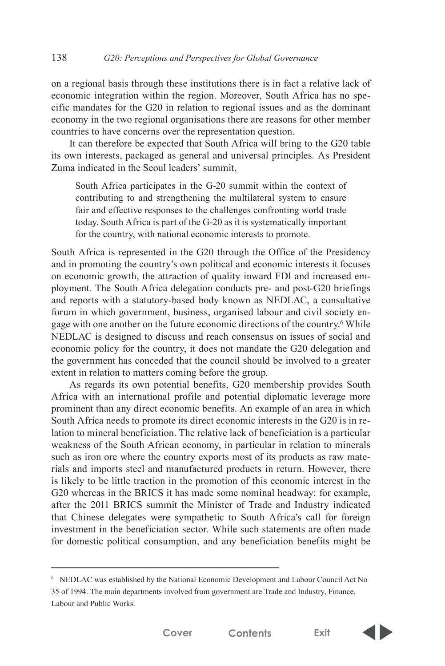on a regional basis through these institutions there is in fact a relative lack of economic integration within the region. Moreover, South Africa has no specific mandates for the G20 in relation to regional issues and as the dominant economy in the two regional organisations there are reasons for other member countries to have concerns over the representation question.

It can therefore be expected that South Africa will bring to the G20 table its own interests, packaged as general and universal principles. As President Zuma indicated in the Seoul leaders' summit,

South Africa participates in the G-20 summit within the context of contributing to and strengthening the multilateral system to ensure fair and effective responses to the challenges confronting world trade today. South Africa is part of the G-20 as it is systematically important for the country, with national economic interests to promote.

South Africa is represented in the G20 through the Office of the Presidency and in promoting the country's own political and economic interests it focuses on economic growth, the attraction of quality inward FDI and increased employment. The South Africa delegation conducts pre- and post-G20 briefings and reports with a statutory-based body known as NEDLAC, a consultative forum in which government, business, organised labour and civil society engage with one another on the future economic directions of the country.<sup>6</sup> While NEDLAC is designed to discuss and reach consensus on issues of social and economic policy for the country, it does not mandate the G20 delegation and the government has conceded that the council should be involved to a greater extent in relation to matters coming before the group.

As regards its own potential benefits, G20 membership provides South Africa with an international profile and potential diplomatic leverage more prominent than any direct economic benefits. An example of an area in which South Africa needs to promote its direct economic interests in the G20 is in relation to mineral beneficiation. The relative lack of beneficiation is a particular weakness of the South African economy, in particular in relation to minerals such as iron ore where the country exports most of its products as raw materials and imports steel and manufactured products in return. However, there is likely to be little traction in the promotion of this economic interest in the G20 whereas in the BRICS it has made some nominal headway: for example, after the 2011 BRICS summit the Minister of Trade and Industry indicated that Chinese delegates were sympathetic to South Africa's call for foreign investment in the beneficiation sector. While such statements are often made for domestic political consumption, and any beneficiation benefits might be



<sup>6</sup> NEDLAC was established by the National Economic Development and Labour Council Act No 35 of 1994. The main departments involved from government are Trade and Industry, Finance, Labour and Public Works.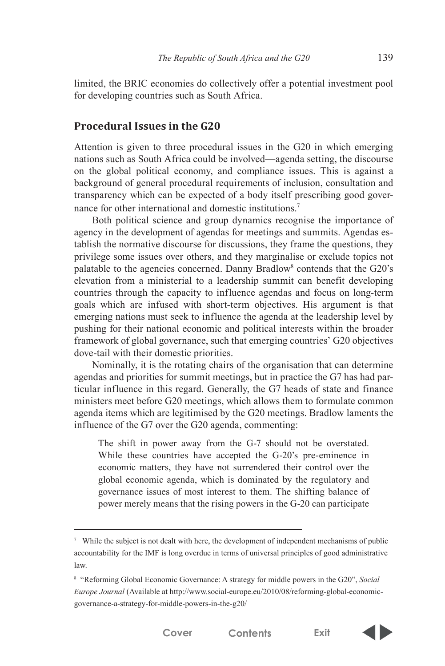limited, the BRIC economies do collectively offer a potential investment pool for developing countries such as South Africa.

#### **Procedural Issues in the G20**

Attention is given to three procedural issues in the G20 in which emerging nations such as South Africa could be involved—agenda setting, the discourse on the global political economy, and compliance issues. This is against a background of general procedural requirements of inclusion, consultation and transparency which can be expected of a body itself prescribing good governance for other international and domestic institutions.<sup>7</sup>

Both political science and group dynamics recognise the importance of agency in the development of agendas for meetings and summits. Agendas establish the normative discourse for discussions, they frame the questions, they privilege some issues over others, and they marginalise or exclude topics not palatable to the agencies concerned. Danny Bradlow<sup>8</sup> contends that the G20's elevation from a ministerial to a leadership summit can benefit developing countries through the capacity to influence agendas and focus on long-term goals which are infused with short-term objectives. His argument is that emerging nations must seek to influence the agenda at the leadership level by pushing for their national economic and political interests within the broader framework of global governance, such that emerging countries' G20 objectives dove-tail with their domestic priorities.

Nominally, it is the rotating chairs of the organisation that can determine agendas and priorities for summit meetings, but in practice the G7 has had particular influence in this regard. Generally, the G7 heads of state and finance ministers meet before G20 meetings, which allows them to formulate common agenda items which are legitimised by the G20 meetings. Bradlow laments the influence of the G7 over the G20 agenda, commenting:

The shift in power away from the G-7 should not be overstated. While these countries have accepted the G-20's pre-eminence in economic matters, they have not surrendered their control over the global economic agenda, which is dominated by the regulatory and governance issues of most interest to them. The shifting balance of power merely means that the rising powers in the G-20 can participate





<sup>7</sup> While the subject is not dealt with here, the development of independent mechanisms of public accountability for the IMF is long overdue in terms of universal principles of good administrative law.

<sup>8</sup> "Reforming Global Economic Governance: A strategy for middle powers in the G20", *Social Europe Journal* (Available at http://www.social-europe.eu/2010/08/reforming-global-economicgovernance-a-strategy-for-middle-powers-in-the-g20/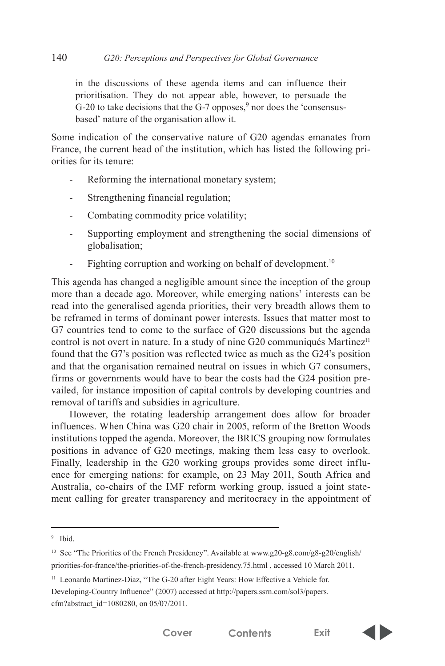in the discussions of these agenda items and can influence their prioritisation. They do not appear able, however, to persuade the G-20 to take decisions that the G-7 opposes, $9$  nor does the 'consensusbased' nature of the organisation allow it.

Some indication of the conservative nature of G20 agendas emanates from France, the current head of the institution, which has listed the following priorities for its tenure:

- Reforming the international monetary system;
- Strengthening financial regulation;
- Combating commodity price volatility;
- Supporting employment and strengthening the social dimensions of globalisation;
- Fighting corruption and working on behalf of development.<sup>10</sup>

This agenda has changed a negligible amount since the inception of the group more than a decade ago. Moreover, while emerging nations' interests can be read into the generalised agenda priorities, their very breadth allows them to be reframed in terms of dominant power interests. Issues that matter most to G7 countries tend to come to the surface of G20 discussions but the agenda control is not overt in nature. In a study of nine G20 communiqués Martinez<sup>11</sup> found that the G7's position was reflected twice as much as the G24's position and that the organisation remained neutral on issues in which G7 consumers, firms or governments would have to bear the costs had the G24 position prevailed, for instance imposition of capital controls by developing countries and removal of tariffs and subsidies in agriculture.

However, the rotating leadership arrangement does allow for broader influences. When China was G20 chair in 2005, reform of the Bretton Woods institutions topped the agenda. Moreover, the BRICS grouping now formulates positions in advance of G20 meetings, making them less easy to overlook. Finally, leadership in the G20 working groups provides some direct influence for emerging nations: for example, on 23 May 2011, South Africa and Australia, co-chairs of the IMF reform working group, issued a joint statement calling for greater transparency and meritocracy in the appointment of



<sup>9</sup> Ibid.

<sup>&</sup>lt;sup>10</sup> See "The Priorities of the French Presidency". Available at www.g20-g8.com/g8-g20/english/ priorities-for-france/the-priorities-of-the-french-presidency.75.html , accessed 10 March 2011.

<sup>&</sup>lt;sup>11</sup> Leonardo Martinez-Diaz, "The G-20 after Eight Years: How Effective a Vehicle for.

Developing-Country Influence" (2007) accessed at http://papers.ssrn.com/sol3/papers. cfm?abstract\_id=1080280, on 05/07/2011.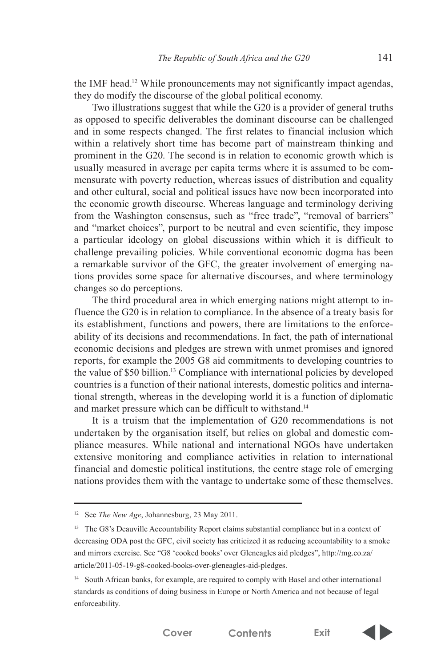the IMF head.12 While pronouncements may not significantly impact agendas, they do modify the discourse of the global political economy.

Two illustrations suggest that while the G20 is a provider of general truths as opposed to specific deliverables the dominant discourse can be challenged and in some respects changed. The first relates to financial inclusion which within a relatively short time has become part of mainstream thinking and prominent in the G20. The second is in relation to economic growth which is usually measured in average per capita terms where it is assumed to be commensurate with poverty reduction, whereas issues of distribution and equality and other cultural, social and political issues have now been incorporated into the economic growth discourse. Whereas language and terminology deriving from the Washington consensus, such as "free trade", "removal of barriers" and "market choices", purport to be neutral and even scientific, they impose a particular ideology on global discussions within which it is difficult to challenge prevailing policies. While conventional economic dogma has been a remarkable survivor of the GFC, the greater involvement of emerging nations provides some space for alternative discourses, and where terminology changes so do perceptions.

The third procedural area in which emerging nations might attempt to influence the G20 is in relation to compliance. In the absence of a treaty basis for its establishment, functions and powers, there are limitations to the enforceability of its decisions and recommendations. In fact, the path of international economic decisions and pledges are strewn with unmet promises and ignored reports, for example the 2005 G8 aid commitments to developing countries to the value of \$50 billion.13 Compliance with international policies by developed countries is a function of their national interests, domestic politics and international strength, whereas in the developing world it is a function of diplomatic and market pressure which can be difficult to withstand.14

It is a truism that the implementation of G20 recommendations is not undertaken by the organisation itself, but relies on global and domestic compliance measures. While national and international NGOs have undertaken extensive monitoring and compliance activities in relation to international financial and domestic political institutions, the centre stage role of emerging nations provides them with the vantage to undertake some of these themselves.



See *The New Age*, Johannesburg, 23 May 2011.

<sup>&</sup>lt;sup>13</sup> The G8's Deauville Accountability Report claims substantial compliance but in a context of decreasing ODA post the GFC, civil society has criticized it as reducing accountability to a smoke and mirrors exercise. See "G8 'cooked books' over Gleneagles aid pledges", http://mg.co.za/ article/2011-05-19-g8-cooked-books-over-gleneagles-aid-pledges.

<sup>&</sup>lt;sup>14</sup> South African banks, for example, are required to comply with Basel and other international standards as conditions of doing business in Europe or North America and not because of legal enforceability.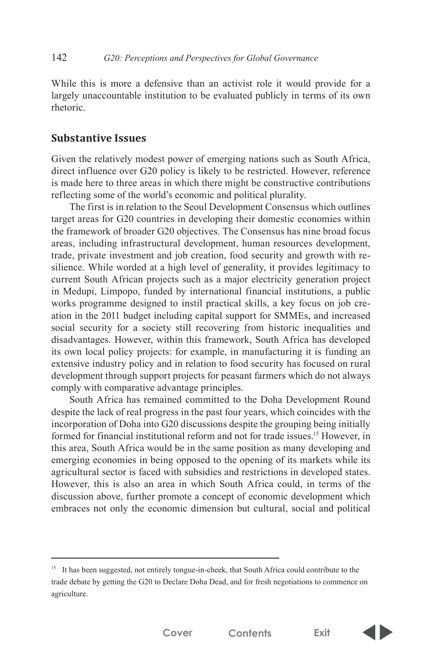While this is more a defensive than an activist role it would provide for a largely unaccountable institution to be evaluated publicly in terms of its own rhetoric.

#### **Substantive Issues**

Given the relatively modest power of emerging nations such as South Africa, direct influence over G20 policy is likely to be restricted. However, reference is made here to three areas in which there might be constructive contributions reflecting some of the world's economic and political plurality.

The first is in relation to the Seoul Development Consensus which outlines target areas for G20 countries in developing their domestic economies within the framework of broader G20 objectives. The Consensus has nine broad focus areas, including infrastructural development, human resources development, trade, private investment and job creation, food security and growth with resilience. While worded at a high level of generality, it provides legitimacy to current South African projects such as a major electricity generation project in Medupi, Limpopo, funded by international financial institutions, a public works programme designed to instil practical skills, a key focus on job creation in the 2011 budget including capital support for SMMEs, and increased social security for a society still recovering from historic inequalities and disadvantages. However, within this framework, South Africa has developed its own local policy projects: for example, in manufacturing it is funding an extensive industry policy and in relation to food security has focused on rural development through support projects for peasant farmers which do not always comply with comparative advantage principles.

South Africa has remained committed to the Doha Development Round despite the lack of real progress in the past four years, which coincides with the incorporation of Doha into G20 discussions despite the grouping being initially formed for financial institutional reform and not for trade issues.<sup>15</sup> However, in this area, South Africa would be in the same position as many developing and emerging economies in being opposed to the opening of its markets while its agricultural sector is faced with subsidies and restrictions in developed states. However, this is also an area in which South Africa could, in terms of the discussion above, further promote a concept of economic development which embraces not only the economic dimension but cultural, social and political



<sup>&</sup>lt;sup>15</sup> It has been suggested, not entirely tongue-in-cheek, that South Africa could contribute to the trade debate by getting the G20 to Declare Doha Dead, and for fresh negotiations to commence on agriculture.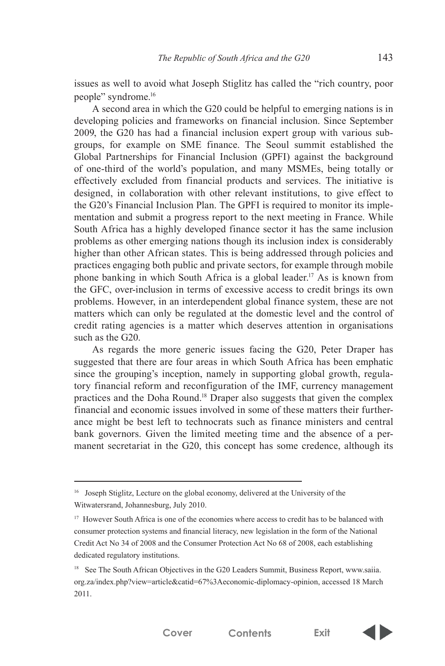issues as well to avoid what Joseph Stiglitz has called the "rich country, poor people" syndrome.16

A second area in which the G20 could be helpful to emerging nations is in developing policies and frameworks on financial inclusion. Since September 2009, the G20 has had a financial inclusion expert group with various subgroups, for example on SME finance. The Seoul summit established the Global Partnerships for Financial Inclusion (GPFI) against the background of one-third of the world's population, and many MSMEs, being totally or effectively excluded from financial products and services. The initiative is designed, in collaboration with other relevant institutions, to give effect to the G20's Financial Inclusion Plan. The GPFI is required to monitor its implementation and submit a progress report to the next meeting in France. While South Africa has a highly developed finance sector it has the same inclusion problems as other emerging nations though its inclusion index is considerably higher than other African states. This is being addressed through policies and practices engaging both public and private sectors, for example through mobile phone banking in which South Africa is a global leader.17 As is known from the GFC, over-inclusion in terms of excessive access to credit brings its own problems. However, in an interdependent global finance system, these are not matters which can only be regulated at the domestic level and the control of credit rating agencies is a matter which deserves attention in organisations such as the G20.

As regards the more generic issues facing the G20, Peter Draper has suggested that there are four areas in which South Africa has been emphatic since the grouping's inception, namely in supporting global growth, regulatory financial reform and reconfiguration of the IMF, currency management practices and the Doha Round.18 Draper also suggests that given the complex financial and economic issues involved in some of these matters their furtherance might be best left to technocrats such as finance ministers and central bank governors. Given the limited meeting time and the absence of a permanent secretariat in the G20, this concept has some credence, although its



<sup>&</sup>lt;sup>16</sup> Joseph Stiglitz, Lecture on the global economy, delivered at the University of the Witwatersrand, Johannesburg, July 2010.

<sup>&</sup>lt;sup>17</sup> However South Africa is one of the economies where access to credit has to be balanced with consumer protection systems and financial literacy, new legislation in the form of the National Credit Act No 34 of 2008 and the Consumer Protection Act No 68 of 2008, each establishing dedicated regulatory institutions.

<sup>&</sup>lt;sup>18</sup> See The South African Objectives in the G20 Leaders Summit, Business Report, www.saiia. org.za/index.php?view=article&catid=67%3Aeconomic-diplomacy-opinion, accessed 18 March 2011.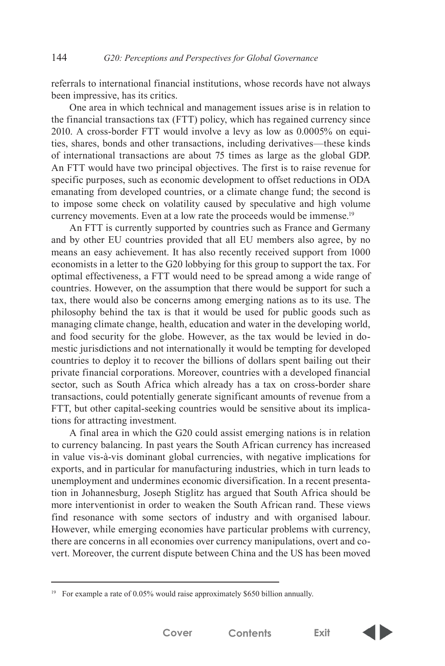referrals to international financial institutions, whose records have not always been impressive, has its critics.

One area in which technical and management issues arise is in relation to the financial transactions tax (FTT) policy, which has regained currency since 2010. A cross-border FTT would involve a levy as low as 0.0005% on equities, shares, bonds and other transactions, including derivatives—these kinds of international transactions are about 75 times as large as the global GDP. An FTT would have two principal objectives. The first is to raise revenue for specific purposes, such as economic development to offset reductions in ODA emanating from developed countries, or a climate change fund; the second is to impose some check on volatility caused by speculative and high volume currency movements. Even at a low rate the proceeds would be immense.<sup>19</sup>

An FTT is currently supported by countries such as France and Germany and by other EU countries provided that all EU members also agree, by no means an easy achievement. It has also recently received support from 1000 economists in a letter to the G20 lobbying for this group to support the tax. For optimal effectiveness, a FTT would need to be spread among a wide range of countries. However, on the assumption that there would be support for such a tax, there would also be concerns among emerging nations as to its use. The philosophy behind the tax is that it would be used for public goods such as managing climate change, health, education and water in the developing world, and food security for the globe. However, as the tax would be levied in domestic jurisdictions and not internationally it would be tempting for developed countries to deploy it to recover the billions of dollars spent bailing out their private financial corporations. Moreover, countries with a developed financial sector, such as South Africa which already has a tax on cross-border share transactions, could potentially generate significant amounts of revenue from a FTT, but other capital-seeking countries would be sensitive about its implications for attracting investment.

A final area in which the G20 could assist emerging nations is in relation to currency balancing. In past years the South African currency has increased in value vis-à-vis dominant global currencies, with negative implications for exports, and in particular for manufacturing industries, which in turn leads to unemployment and undermines economic diversification. In a recent presentation in Johannesburg, Joseph Stiglitz has argued that South Africa should be more interventionist in order to weaken the South African rand. These views find resonance with some sectors of industry and with organised labour. However, while emerging economies have particular problems with currency, there are concerns in all economies over currency manipulations, overt and covert. Moreover, the current dispute between China and the US has been moved



<sup>&</sup>lt;sup>19</sup> For example a rate of 0.05% would raise approximately \$650 billion annually.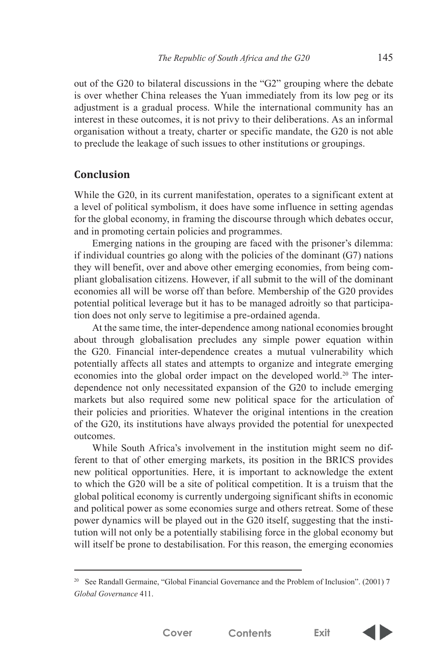out of the G20 to bilateral discussions in the "G2" grouping where the debate is over whether China releases the Yuan immediately from its low peg or its adjustment is a gradual process. While the international community has an interest in these outcomes, it is not privy to their deliberations. As an informal organisation without a treaty, charter or specific mandate, the G20 is not able to preclude the leakage of such issues to other institutions or groupings.

### **Conclusion**

While the G20, in its current manifestation, operates to a significant extent at a level of political symbolism, it does have some influence in setting agendas for the global economy, in framing the discourse through which debates occur, and in promoting certain policies and programmes.

Emerging nations in the grouping are faced with the prisoner's dilemma: if individual countries go along with the policies of the dominant (G7) nations they will benefit, over and above other emerging economies, from being compliant globalisation citizens. However, if all submit to the will of the dominant economies all will be worse off than before. Membership of the G20 provides potential political leverage but it has to be managed adroitly so that participation does not only serve to legitimise a pre-ordained agenda.

At the same time, the inter-dependence among national economies brought about through globalisation precludes any simple power equation within the G20. Financial inter-dependence creates a mutual vulnerability which potentially affects all states and attempts to organize and integrate emerging economies into the global order impact on the developed world.<sup>20</sup> The interdependence not only necessitated expansion of the G20 to include emerging markets but also required some new political space for the articulation of their policies and priorities. Whatever the original intentions in the creation of the G20, its institutions have always provided the potential for unexpected outcomes.

While South Africa's involvement in the institution might seem no different to that of other emerging markets, its position in the BRICS provides new political opportunities. Here, it is important to acknowledge the extent to which the G20 will be a site of political competition. It is a truism that the global political economy is currently undergoing significant shifts in economic and political power as some economies surge and others retreat. Some of these power dynamics will be played out in the G20 itself, suggesting that the institution will not only be a potentially stabilising force in the global economy but will itself be prone to destabilisation. For this reason, the emerging economies





<sup>20</sup> See Randall Germaine, "Global Financial Governance and the Problem of Inclusion". (2001) 7 *Global Governance* 411.